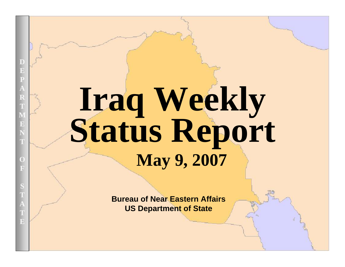# **Iraq Weekly Status Report May 9, 2007**

**Bureau of Near Eastern AffairsUS Department of State**

UNCLASSIFIED AT A 2000 FOR DEVELOPMENT OF THE CONTRACTOR CONTRACTOR CONTRACTOR

**D**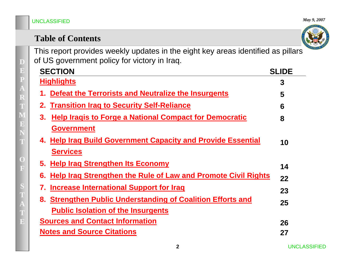### **DEPARTM** $\mathbf{E}$ **NTOFS TATE**

|  | <b>Table of Contents</b> |  |
|--|--------------------------|--|
|--|--------------------------|--|

This report provides weekly updates in the eight key areas identified as pillars of US government policy for victory in Iraq.

| <b>SECTION</b>                                                             | <b>SLIDE</b> |
|----------------------------------------------------------------------------|--------------|
| <b>Highlights</b>                                                          | 3            |
| Defeat the Terrorists and Neutralize the Insurgents<br>1.                  | 5            |
| 2. Transition Irag to Security Self-Reliance                               | 6            |
| <b>Help Iragis to Forge a National Compact for Democratic</b><br>3.        | 8            |
| <b>Government</b>                                                          |              |
| 4. Help Iraq Build Government Capacity and Provide Essential               | 10           |
| <b>Services</b>                                                            |              |
| 5. Help Iraq Strengthen Its Economy                                        | 14           |
| <b>Help Iraq Strengthen the Rule of Law and Promote Civil Rights</b><br>6. | 22           |
| Increase International Support for Iraq<br>7.                              | 23           |
| 8. Strengthen Public Understanding of Coalition Efforts and                | 25           |
| <b>Public Isolation of the Insurgents</b>                                  |              |
| <b>Sources and Contact Information</b>                                     | 26           |
| <b>Notes and Source Citations</b>                                          | 27           |

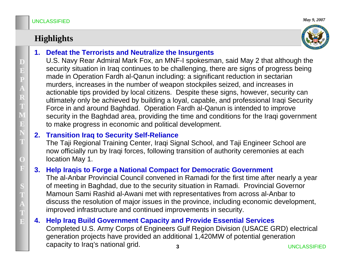### **Highlights**



#### **1. Defeat the Terrorists and Neutralize the Insurgents**

U.S. Navy Rear Admiral Mark Fox, an MNF-I spokesman, said May 2 that although the security situation in Iraq continues to be challenging, there are signs of progress being made in Operation Fardh al-Qanun including: a significant reduction in sectarian murders, increases in the number of weapon stockpiles seized, and increases in actionable tips provided by local citizens. Despite these signs, however, security can ultimately only be achieved by building a loyal, capable, and professional Iraqi Security Force in and around Baghdad. Operation Fardh al-Qanun is intended to improve security in the Baghdad area, providing the time and conditions for the Iraqi government to make progress in economic and political development.

#### **2. Transition Iraq to Security Self-Reliance**

The Taji Regional Training Center, Iraqi Signal School, and Taji Engineer School are now officially run by Iraqi forces, following transition of authority ceremonies at each location May 1.

### **3. Help Iraqis to Forge a National Compact for Democratic Government**

The al-Anbar Provincial Council convened in Ramadi for the first time after nearly a year of meeting in Baghdad, due to the security situation in Ramadi. Provincial Governor Mamoun Sami Rashid al-Awani met with representatives from across al-Anbar to discuss the resolution of major issues in the province, including economic development, improved infrastructure and continued improvements in security.

#### **3** UNCLASSIFIED**4. Help Iraq Build Government Capacity and Provide Essential Services** Completed U.S. Army Corps of Engineers Gulf Region Division (USACE GRD) electrical generation projects have provided an additional 1,420MW of potential generation capacity to Iraq's national grid.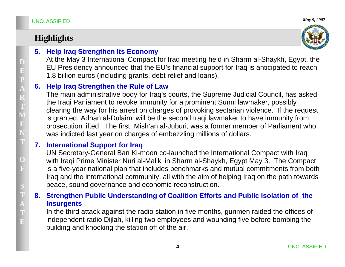### **Highlights**



### **5. Help Iraq Strengthen Its Economy**

At the May 3 International Compact for Iraq meeting held in Sharm al-Shaykh, Egypt, the EU Presidency announced that the EU's financial support for Iraq is anticipated to reach 1.8 billion euros (including grants, debt relief and loans).

#### **6. Help Iraq Strengthen the Rule of Law**

The main administrative body for Iraq's courts, the Supreme Judicial Council, has asked the Iraqi Parliament to revoke immunity for a prominent Sunni lawmaker, possibly clearing the way for his arrest on charges of provoking sectarian violence. If the request is granted, Adnan al-Dulaimi will be the second Iraqi lawmaker to have immunity from prosecution lifted. The first, Mish'an al-Juburi, was a former member of Parliament who was indicted last year on charges of embezzling millions of dollars.

#### **7. International Support for Iraq**

UN Secretary-General Ban Ki-moon co-launched the International Compact with Iraq with Iraqi Prime Minister Nuri al-Maliki in Sharm al-Shaykh, Egypt May 3. The Compact is a five-year national plan that includes benchmarks and mutual commitments from both Iraq and the international community, all with the aim of helping Iraq on the path towards peace, sound governance and economic reconstruction.

#### **8. Strengthen Public Understanding of Coalition Efforts and Public Isolation of the Insurgents**

In the third attack against the radio station in five months, gunmen raided the offices of independent radio Dijlah, killing two employees and wounding five before bombing the building and knocking the station off of the air.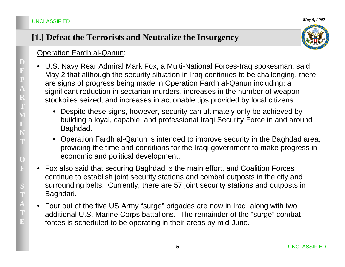#### *May 9, 2007*

### **[1.] Defeat the Terrorists and Neutralize the Insurgency**



#### Operation Fardh al-Qanun:

- U.S. Navy Rear Admiral Mark Fox, a Multi-National Forces-Iraq spokesman, said May 2 that although the security situation in Iraq continues to be challenging, there are signs of progress being made in Operation Fardh al-Qanun including: a significant reduction in sectarian murders, increases in the number of weapon stockpiles seized, and increases in actionable tips provided by local citizens.
	- Despite these signs, however, security can ultimately only be achieved by building a loyal, capable, and professional Iraqi Security Force in and around Baghdad.
	- Operation Fardh al-Qanun is intended to improve security in the Baghdad area, providing the time and conditions for the Iraqi government to make progress in economic and political development.
- • Fox also said that securing Baghdad is the main effort, and Coalition Forces continue to establish joint security stations and combat outposts in the city and surrounding belts. Currently, there are 57 joint security stations and outposts in Baghdad.
- Four out of the five US Army "surge" brigades are now in Iraq, along with two additional U.S. Marine Corps battalions. The remainder of the "surge" combat forces is scheduled to be operating in their areas by mid-June.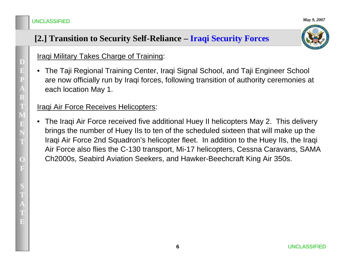### **[2.] Transition to Security Self-Reliance – Iraqi Security Forces**



### **Iraqi Military Takes Charge of Training:**

• The Taji Regional Training Center, Iraqi Signal School, and Taji Engineer School are now officially run by Iraqi forces, following transition of authority ceremonies at each location May 1.

#### Iraqi Air Force Receives Helicopters:

• The Iraqi Air Force received five additional Huey II helicopters May 2. This delivery brings the number of Huey IIs to ten of the scheduled sixteen that will make up the Iraqi Air Force 2nd Squadron's helicopter fleet. In addition to the Huey IIs, the Iraqi Air Force also flies the C-130 transport, Mi-17 helicopters, Cessna Caravans, SAMA Ch2000s, Seabird Aviation Seekers, and Hawker-Beechcraft King Air 350s.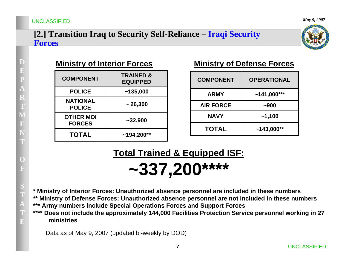#### **[2.] Transition Iraq to Security Self-Reliance – Iraqi Security Forces**



| <b>COMPONENT</b>                  | <b>TRAINED &amp;</b><br><b>EQUIPPED</b> |
|-----------------------------------|-----------------------------------------|
| <b>POLICE</b>                     | ~135,000                                |
| <b>NATIONAL</b><br><b>POLICE</b>  | ~26,300                                 |
| <b>OTHER MOI</b><br><b>FORCES</b> | $~1$ - 32,900                           |
| <b>TOTAL</b>                      | $~194,200**$                            |

### **Ministry of Interior Forces Ministry of Defense Forces**

| <b>COMPONENT</b> | <b>OPERATIONAL</b> |
|------------------|--------------------|
| <b>ARMY</b>      | $~141,000***$      |
| <b>AIR FORCE</b> | $-900$             |
| <b>NAVY</b>      | $-1,100$           |
| <b>TOTAL</b>     | $~143,000**$       |

**Total Trained & Equipped ISF:**

**~337,200\*\*\*\***

**\* Ministry of Interior Forces: Unauthorized absence personnel are included in these numbers**

**\*\* Ministry of Defense Forces: Unauthorized absence personnel are not included in these numbers \*\*\* Army numbers include Special Operations Forces and Support Forces**

**\*\*\*\* Does not include the approximately 144,000 Facilities Protection Service personnel working in 27 ministries**

Data as of May 9, 2007 (updated bi-weekly by DOD)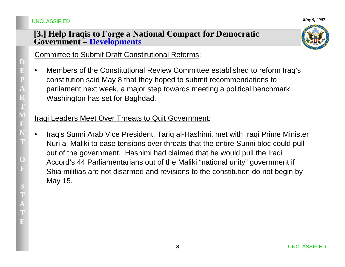#### **[3.] Help Iraqis to Forge a National Compact for Democratic Government – Developments**



Committee to Submit Draft Constitutional Reforms:

• Members of the Constitutional Review Committee established to reform Iraq's constitution said May 8 that they hoped to submit recommendations to parliament next week, a major step towards meeting a political benchmark Washington has set for Baghdad.

### Iraqi Leaders Meet Over Threats to Quit Government:

• Iraq's Sunni Arab Vice President, Tariq al-Hashimi, met with Iraqi Prime Minister Nuri al-Maliki to ease tensions over threats that the entire Sunni bloc could pull out of the government. Hashimi had claimed that he would pull the Iraqi Accord's 44 Parliamentarians out of the Maliki "national unity" government if Shia militias are not disarmed and revisions to the constitution do not begin by May 15.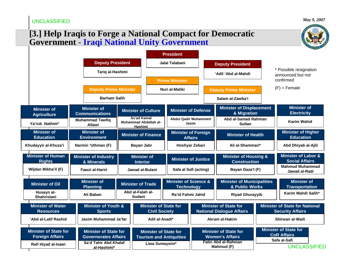*May 9, 2007*

### **[3.] Help Iraqis to Forge a National Compact for Democratic Government** - **Iraqi National Unity Government**

|                                                                               |             |                                                                                      |                                                     |                                                                                  | <b>President</b>                                      |                            |                                                                  |                                                                                      |                                                  |                                                                                           |  |                |  |
|-------------------------------------------------------------------------------|-------------|--------------------------------------------------------------------------------------|-----------------------------------------------------|----------------------------------------------------------------------------------|-------------------------------------------------------|----------------------------|------------------------------------------------------------------|--------------------------------------------------------------------------------------|--------------------------------------------------|-------------------------------------------------------------------------------------------|--|----------------|--|
|                                                                               |             | <b>Deputy President</b>                                                              |                                                     |                                                                                  | Jalal Talabani                                        |                            |                                                                  | <b>Deputy President</b>                                                              |                                                  |                                                                                           |  |                |  |
|                                                                               |             | Tariq al-Hashimi                                                                     |                                                     |                                                                                  | <b>Prime Minister</b>                                 |                            | 'Adil 'Abd al-Mahdi                                              |                                                                                      |                                                  | * Possible resignation<br>announced but not<br>confirmed                                  |  |                |  |
|                                                                               |             |                                                                                      | <b>Deputy Prime Minister</b><br><b>Barham Salih</b> |                                                                                  |                                                       |                            | Nuri al-Maliki                                                   |                                                                                      | <b>Deputy Prime Minister</b><br>Salam al-Zawba'i |                                                                                           |  | $(F)$ = Female |  |
| <b>Minister of</b><br><b>Agriculture</b>                                      |             | <b>Minister of</b><br><b>Communications</b>                                          |                                                     | <b>Minister of Culture</b>                                                       | <b>Minister of Defense</b>                            |                            | <b>Minister of Displacement</b><br>& Migration                   |                                                                                      |                                                  | <b>Minister of</b><br><b>Electricity</b>                                                  |  |                |  |
| Ya'rub Nathim*                                                                |             | <b>Muhammad Tawfiq</b><br>Allawi                                                     |                                                     | As'ad Kamal<br><b>Muhammad Abdallah al-</b><br>Hashimi                           | <b>Abdul Qadir Muhammed</b><br>Jasim                  |                            |                                                                  | Abd al-Samad Rahman<br><b>Sultan</b>                                                 |                                                  | Karim Wahid                                                                               |  |                |  |
| <b>Minister of</b><br><b>Education</b>                                        |             | <b>Minister of</b><br><b>Environment</b>                                             |                                                     | <b>Minister of Finance</b>                                                       | <b>Minister of Foreign</b><br><b>Affairs</b>          |                            |                                                                  | <b>Minister of Health</b>                                                            |                                                  | <b>Minister of Higher</b><br><b>Education</b>                                             |  |                |  |
| Khudayyir al-Khuza'i                                                          |             | Narmin 'Uthman (F)                                                                   |                                                     | Bayan Jabr<br>Hoshyar Zebari                                                     |                                                       |                            |                                                                  | Ali al-Shammari*                                                                     |                                                  | Abd Dhiyab al-Ajili                                                                       |  |                |  |
| <b>Minister of Human</b><br><b>Rights</b>                                     |             | <b>Minister of Industry</b><br>& Minerals                                            |                                                     | <b>Minister of</b><br><b>Interior</b>                                            |                                                       | <b>Minister of Justice</b> |                                                                  | <b>Minister of Housing &amp;</b><br><b>Construction</b>                              |                                                  | <b>Minister of Labor &amp;</b><br><b>Social Affairs</b>                                   |  |                |  |
| Wijdan Mikha'il (F)                                                           |             | Fawzi al-Hariri                                                                      |                                                     | Jawad al-Bulani                                                                  | Safa al Safi (acting)                                 |                            |                                                                  | Bayan Daza'l (F)                                                                     |                                                  | <b>Mahmud Muhammad</b><br>Jawad al-Radi                                                   |  |                |  |
| <b>Minister of Oil</b>                                                        |             | <b>Minister of</b><br><b>Planning</b>                                                |                                                     | <b>Minister of Trade</b>                                                         | <b>Minister of Science &amp;</b><br><b>Technology</b> |                            |                                                                  | <b>Minister of Municipalities</b><br>& Public Works                                  |                                                  | <b>Minister of</b><br><b>Transportation</b>                                               |  |                |  |
| Husayn al-<br>Shahristani                                                     |             | Ali Baban                                                                            |                                                     | Abd al-Falah al-<br>Sudani                                                       | Ra'id Fahmi Jahid                                     |                            |                                                                  | <b>Riyad Ghurayyib</b>                                                               |                                                  | Karim Mahdi Salih*                                                                        |  |                |  |
| <b>Minister of Water</b><br><b>Resources</b>                                  |             | <b>Minister of Youth &amp;</b><br><b>Sports</b>                                      |                                                     |                                                                                  | <b>Minister of State for</b><br><b>Civil Society</b>  |                            | <b>Minister of State for</b><br><b>National Dialogue Affairs</b> |                                                                                      |                                                  | <b>Minister of State for National</b><br><b>Security Affairs</b>                          |  |                |  |
| 'Abd al-Latif Rashid                                                          |             | Jasim Muhammad Ja'far                                                                | Adil al-Asadi*                                      |                                                                                  |                                                       |                            |                                                                  | <b>Akram al-Hakim</b>                                                                |                                                  | Shirwan al-Waili                                                                          |  |                |  |
| <b>Minister of State for</b><br><b>Foreign Affairs</b><br>Rafi Hiyad al-Isawi |             | <b>Minister of State for</b><br><b>Governorates Affairs</b><br>Sa'd Tahir Abd Khalaf |                                                     | <b>Minister of State for</b><br><b>Tourism and Antiquities</b><br>Liwa Sumaysim* |                                                       |                            |                                                                  | <b>Minister of State for</b><br><b>Women's Affairs</b><br><b>Fatin Abd al-Rahman</b> |                                                  | <b>Minister of State for</b><br><b>CoR Affairs</b><br>Safa al-Safi<br><b>UNCLASSIFIED</b> |  |                |  |
|                                                                               | al-Hashimi* |                                                                                      |                                                     |                                                                                  |                                                       |                            | Mahmud (F)                                                       |                                                                                      |                                                  |                                                                                           |  |                |  |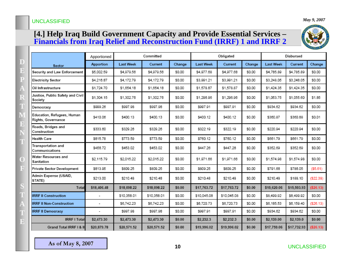#### **[4.] Help Iraq Build Government Capacity and Provide Essential Services – Financials from Iraq Relief and Reconstruction Fund (IRRF) 1 and IRRF 2**



|                                                  | Apportioned              | Committed        |             |        | Obligated        |             |        | Disbursed        |             |            |
|--------------------------------------------------|--------------------------|------------------|-------------|--------|------------------|-------------|--------|------------------|-------------|------------|
| Sector                                           | Apportion                | <b>Last Week</b> | Current     | Change | <b>Last Week</b> | Current     | Change | <b>Last Week</b> | Current     | Change     |
| Security and Law Enforcement                     | \$5,002.59               | \$4,979.56       | \$4,979.56  | \$0.00 | \$4,977.68       | \$4,977.68  | \$0.00 | \$4,785.89       | \$4,785.89  | \$0.00     |
| <b>Electricity Sector</b>                        | \$4.216.87               | \$4,172.79       | \$4,172.79  | \$0.00 | \$3,991.21       | \$3,991.21  | \$0.00 | \$3,248.05       | \$3,248.05  | \$0.00     |
| Oil Infrastructure                               | \$1,724.70               | \$1,654.18       | \$1,654.18  | \$0.00 | \$1,578.87       | \$1,578.87  | \$0.00 | \$1,424.35       | \$1,424.35  | \$0.00     |
| Justice, Public Safety and Civil<br>Society      | \$1,304.15               | \$1,302.76       | \$1,302.76  | \$0.00 | \$1,296.96       | \$1,296.96  | \$0.00 | \$1,053.75       | \$1,055.60  | \$1.85     |
| Democracy                                        | \$999.26                 | \$997.98         | \$997.98    | \$0.00 | \$997.91         | \$997.91    | \$0.00 | \$934.62         | \$934.62    | \$0.00     |
| Education, Refugees, Human<br>Rights, Governance | \$410.06                 | \$400.13         | \$400.13    | \$0.00 | \$400.12         | \$400.12    | \$0.00 | \$360.87         | \$360.88    | \$0.01     |
| Roads, Bridges and<br>Construction               | \$333.60                 | \$329.26         | \$329.26    | \$0.00 | \$322.19         | \$322.19    | \$0.00 | \$220.94         | \$220.94    | \$0.00     |
| <b>Health Care</b>                               | \$815.78                 | \$773.59         | \$773.59    | \$0.00 | \$760.12         | \$760.12    | \$0.00 | \$661.79         | \$661.79    | \$0.00     |
| Transportation and<br>Communications             | \$456.72                 | \$453.02         | \$453.02    | \$0.00 | \$447.26         | \$447.26    | \$0.00 | \$352.69         | \$352.69    | \$0.00     |
| Water Resources and<br>Sanitation                | \$2,115.79               | \$2,015.22       | \$2,015.22  | \$0.00 | \$1,971.66       | \$1,971.66  | \$0.00 | \$1,574.98       | \$1,574.98  | \$0.00     |
| Private Sector Development                       | \$813.95                 | \$809.25         | \$809.25    | \$0.00 | \$809.25         | \$809.25    | \$0.00 | \$791.66         | \$786.05    | (55.61)    |
| Admin Expense (USAID,<br>STATE)                  | \$213.00                 | \$210.48         | \$210.48    | \$0.00 | \$210.48         | \$210.48    | \$0.00 | \$210.48         | \$188.10    | (\$22.38)  |
| Total                                            | \$18,406.48              | \$18,098.22      | \$18,098.22 | \$0.00 | \$17,763.72      | \$17,763.72 | \$0.00 | \$15,620.06      | \$15,593.93 | ( \$26.13) |
| <b>IRRF II Construction</b>                      | $\overline{\phantom{a}}$ | \$10,358.01      | \$10,358.01 | \$0.00 | \$10,045.08      | \$10,045.08 | \$0.00 | \$8,499.92       | \$8,499.92  | \$0.00     |
| <b>IRRF II Non-Construction</b>                  | $\overline{\phantom{0}}$ | \$6,742.23       | \$6,742.23  | \$0.00 | \$6,720.73       | \$6,720.73  | \$0.00 | \$6,185.53       | \$6,159.40  | ( \$26.13) |
| <b>IRRF II Democracy</b>                         | $\overline{a}$           | \$997.98         | \$997.98    | \$0.00 | \$997.91         | \$997.91    | \$0.00 | \$934.62         | \$934.62    | \$0.00     |
| <b>IRRF I Total</b>                              | \$2,473.30               | \$2,473.30       | \$2,473.30  | \$0.00 | \$2,232.3        | \$2,232.3   | \$0.00 | \$2,139.00       | \$2,139.0   | \$0.00     |
| Grand Total IRRF I & II                          | \$20,879.78              | \$20,571.52      | \$20,571.52 | \$0.00 | \$19,996.02      | \$19,996.02 | \$0.00 | \$17,759.06      | \$17,732.93 | (\$26.13)  |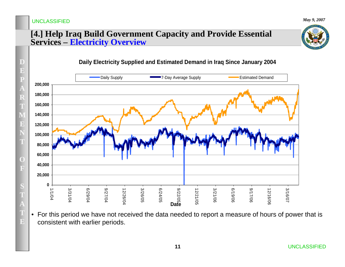*May 9, 2007*

#### **[4.] Help Iraq Build Government Capacity and Provide Essential Services – Electricity Overview**



**DEPA RTMENTOFS TATE**consistent with earlier periods. **020,000 40,000 60,000 80,000 100,000 120,000 140,000 160,000 180,000 200,000** 1/1/04 3/31/04 6/29/04 9/27/04 12/26/04 Daily Supply **Community 19th Community** 7-Day Average Supply **Community Community** Estimated Demand

#### **Daily Electricity Supplied and Estimated Demand in Iraq Since January 2004**

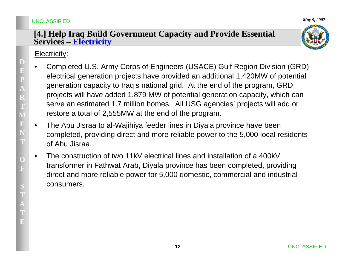#### **[4.] Help Iraq Build Government Capacity and Provide Essential Services – Electricity**

### Electricity:

- • Completed U.S. Army Corps of Engineers (USACE) Gulf Region Division (GRD) electrical generation projects have provided an additional 1,420MW of potential generation capacity to Iraq's national grid. At the end of the program, GRD projects will have added 1,879 MW of potential generation capacity, which can serve an estimated 1.7 million homes. All USG agencies' projects will add or restore a total of 2,555MW at the end of the program.
- • The Abu Jisraa to al-Wajihiya feeder lines in Diyala province have been completed, providing direct and more reliable power to the 5,000 local residents of Abu Jisraa.
- • The construction of two 11kV electrical lines and installation of a 400kV transformer in Fathwat Arab, Diyala province has been completed, providing direct and more reliable power for 5,000 domestic, commercial and industrial consumers.

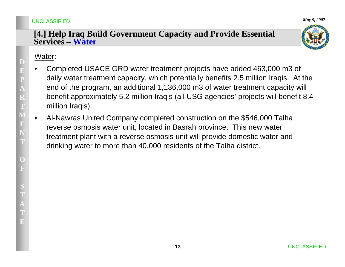#### **[4.] Help Iraq Build Government Capacity and Provide Essential Services – Water**

#### Water:

- • Completed USACE GRD water treatment projects have added 463,000 m3 of daily water treatment capacity, which potentially benefits 2.5 million Iraqis. At the end of the program, an additional 1,136,000 m3 of water treatment capacity will benefit approximately 5.2 million Iraqis (all USG agencies' projects will benefit 8.4 million Iraqis).
- • Al-Nawras United Company completed construction on the \$546,000 Talha reverse osmosis water unit, located in Basrah province. This new water treatment plant with a reverse osmosis unit will provide domestic water and drinking water to more than 40,000 residents of the Talha district.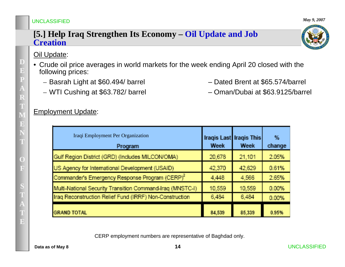#### **[5.] Help Iraq Strengthen Its Economy – Oil Update and Job Creation**

#### Oil Update:

**D**

**E**

**P**

**A**

**R**

**T**

**M**

**E**

**NT**

> **OF**

**S T**

**A**

**TE**

- Crude oil price averages in world markets for the week ending April 20 closed with the following prices:
	- Basrah Light at \$60.494/ barrel Dated Brent at \$65.574/barrel
	- WTI Cushing at \$63.782/ barrel Oman/Dubai at \$63.9125/barrel

Iraqi Employment Per Organization

Gulf Region District (GRD) (Includes MILCON/OMA)

Commander's Emergency Response Program (CERP)<sup>2</sup>

Multi-National Security Transition Command-Iraq (MNSTC-I)

US Agency for International Development (USAID)

Program

#### Employment Update:

| Iraq Reconstruction Relief Fund (IRRF) Non-Construction | 6.484  | 6.484  | 0.00% |
|---------------------------------------------------------|--------|--------|-------|
| <b>GRAND TOTAL</b>                                      | 84,539 | 85,339 | 0.95% |
|                                                         |        |        |       |
|                                                         |        |        |       |

CERP employment numbers are representative of Baghdad only.



 $\frac{dy}{dx}$ 

change

2.05%

0.61%

2.65%

0.00%

Iragis Last Iragis This

Week

21.101

42.629

4.566

10.559

**Week** 

20.678

42,370

4.448

10.559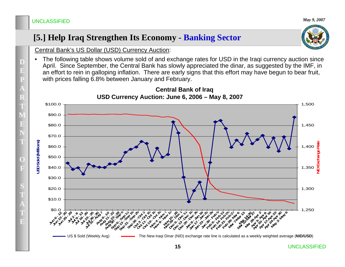### **[5.] Help Iraq Strengthen Its Economy - Banking Sector**



Central Bank's US Dollar (USD) Currency Auction:

• The following table shows volume sold of and exchange rates for USD in the Iraqi currency auction since April. Since September, the Central Bank has slowly appreciated the dinar, as suggested by the IMF, in an effort to rein in galloping inflation. There are early signs that this effort may have begun to bear fruit, with prices falling 6.8% between January and February.

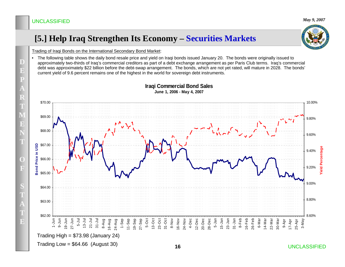### **[5.] Help Iraq Strengthen Its Economy – Securities Markets**



Trading of Iraqi Bonds on the International Secondary Bond Market:

• The following table shows the daily bond resale price and yield on Iraqi bonds issued January 20. The bonds were originally issued to approximately two-thirds of Iraq's commercial creditors as part of a debt exchange arrangement as per Paris Club terms. Iraq's commercial debt was approximately \$22 billion before the debt-swap arrangement. The bonds, which are not yet rated, will mature in 2028. The bonds' current yield of 9.6 percent remains one of the highest in the world for sovereign debt instruments.



#### **Iraqi Commercial Bond Sales June 1, 2006 - May 4, 2007**

**D**

 $\mathbf{E}$ 

**P**

**A**

**R**

**T**

**M**

 $\mathbf{E}$ 

**N**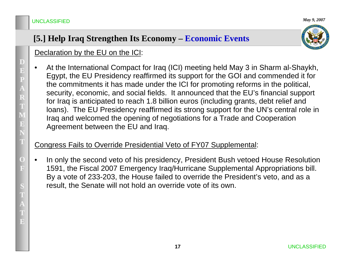*May 9, 2007*

### **[5.] Help Iraq Strengthen Its Economy – Economic Events**



Declaration by the EU on the ICI:

• At the International Compact for Iraq (ICI) meeting held May 3 in Sharm al-Shaykh, Egypt, the EU Presidency reaffirmed its support for the GOI and commended it for the commitments it has made under the ICI for promoting reforms in the political, security, economic, and social fields. It announced that the EU's financial support for Iraq is anticipated to reach 1.8 billion euros (including grants, debt relief and loans). The EU Presidency reaffirmed its strong support for the UN's central role in Iraq and welcomed the opening of negotiations for a Trade and Cooperation Agreement between the EU and Iraq.

#### Congress Fails to Override Presidential Veto of FY07 Supplemental:

• In only the second veto of his presidency, President Bush vetoed House Resolution 1591, the Fiscal 2007 Emergency Iraq/Hurricane Supplemental Appropriations bill. By a vote of 233-203, the House failed to override the President's veto, and as a result, the Senate will not hold an override vote of its own.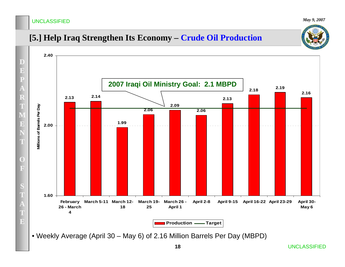*May 9, 2007*

### **[5.] Help Iraq Strengthen Its Economy – Crude Oil Production**



• Weekly Average (April 30 – May 6) of 2.16 Million Barrels Per Day (MBPD)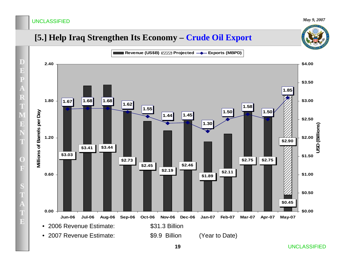#### *May 9, 2007*

### **[5.] Help Iraq Strengthen Its Economy – Crude Oil Export**



UNCLASSIFIED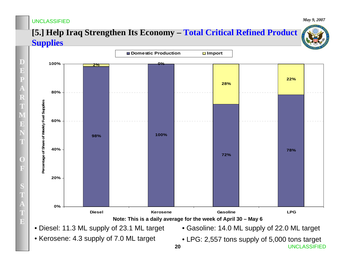**D**

 $\mathbf{E}$ 

**P**

**A**

**R**

**T**

**M**

 $\mathbf{E}$ 

**N**

**T**

**O**

**F**

**S**

**T**

**A**

**T**

**E**

### **[5.] Help Iraq Strengthen Its Economy – Total Critical Refined Product Supplies**



- Diesel: 11.3 ML supply of 23.1 ML target
- Kerosene: 4.3 supply of 7.0 ML target
- Gasoline: 14.0 ML supply of 22.0 ML target
- **20** UNCLASSIFIED• LPG: 2,557 tons supply of 5,000 tons target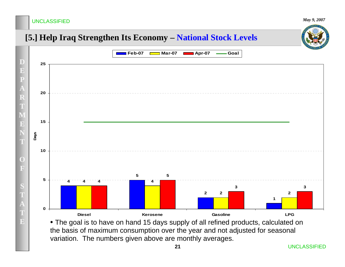*May 9, 2007*

### **[5.] Help Iraq Strengthen Its Economy – National Stock Levels**



• The goal is to have on hand 15 days supply of all refined products, calculated on the basis of maximum consumption over the year and not adjusted for seasonal variation. The numbers given above are monthly averages.

**21**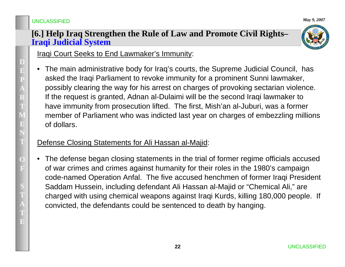#### **[6.] Help Iraq Strengthen the Rule of Law and Promote Civil Rights– Iraqi Judicial System**



Iraqi Court Seeks to End Lawmaker's Immunity:

• The main administrative body for Iraq's courts, the Supreme Judicial Council, has asked the Iraqi Parliament to revoke immunity for a prominent Sunni lawmaker, possibly clearing the way for his arrest on charges of provoking sectarian violence. If the request is granted, Adnan al-Dulaimi will be the second Iraqi lawmaker to have immunity from prosecution lifted. The first, Mish'an al-Juburi, was a former member of Parliament who was indicted last year on charges of embezzling millions of dollars.

### Defense Closing Statements for Ali Hassan al-Majid:

• The defense began closing statements in the trial of former regime officials accused of war crimes and crimes against humanity for their roles in the 1980's campaign code-named Operation Anfal. The five accused henchmen of former Iraqi President Saddam Hussein, including defendant Ali Hassan al-Majid or "Chemical Ali," are charged with using chemical weapons against Iraqi Kurds, killing 180,000 people. If convicted, the defendants could be sentenced to death by hanging.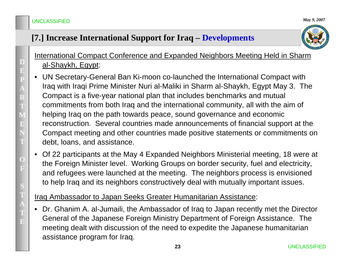### **[7.] Increase International Support for Iraq – Developments**



### International Compact Conference and Expanded Neighbors Meeting Held in Sharm al-Shaykh, Egypt:

- • UN Secretary-General Ban Ki-moon co-launched the International Compact with Iraq with Iraqi Prime Minister Nuri al-Maliki in Sharm al-Shaykh, Egypt May 3. The Compact is a five-year national plan that includes benchmarks and mutual commitments from both Iraq and the international community, all with the aim of helping Iraq on the path towards peace, sound governance and economic reconstruction. Several countries made announcements of financial support at the Compact meeting and other countries made positive statements or commitments on debt, loans, and assistance.
- • Of 22 participants at the May 4 Expanded Neighbors Ministerial meeting, 18 were at the Foreign Minister level. Working Groups on border security, fuel and electricity, and refugees were launched at the meeting. The neighbors process is envisioned to help Iraq and its neighbors constructively deal with mutually important issues.

### Iraq Ambassador to Japan Seeks Greater Humanitarian Assistance:

• Dr. Ghanim A. al-Jumaili, the Ambassador of Iraq to Japan recently met the Director General of the Japanese Foreign Ministry Department of Foreign Assistance. The meeting dealt with discussion of the need to expedite the Japanese humanitarian assistance program for Iraq.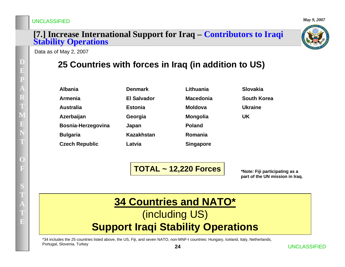# **[7.] Increase International Support for Iraq – Contributors to Iraqi Stability Operations**

Data as of May 2, 2007

### **25 Countries with forces in Iraq (in addition to US)**

| <b>Albania</b>        |
|-----------------------|
| <b>Armenia</b>        |
| <b>Australia</b>      |
| Azerbaijan            |
| Bosnia-Herzegovina    |
| <b>Bulgaria</b>       |
| <b>Czech Republic</b> |

| Denmark     |
|-------------|
| El Salvador |
| Estonia     |
| Georgia     |
| Japan       |
| Kazakhstan  |
| Latvia      |

| Lithuania        | Slovakia           |
|------------------|--------------------|
| Macedonia        | <b>South Korea</b> |
| <b>Moldova</b>   | <b>Ukraine</b>     |
| <b>Mongolia</b>  | UK                 |
| <b>Poland</b>    |                    |
| Romania          |                    |
| <b>Singapore</b> |                    |

**TOTAL ~ 12,220 Forces**

**\*Note: Fiji participating as a part of the UN mission in Iraq.** 

### **34 Countries and NATO\*** (including US)

## **Support Iraqi Stability Operations**

\*34 includes the 25 countries listed above, the US, Fiji, and seven NATO, non-MNF-I countries: Hungary, Iceland, Italy, Netherlands, Portugal, Slovenia, Turkey



*May 9, 2007*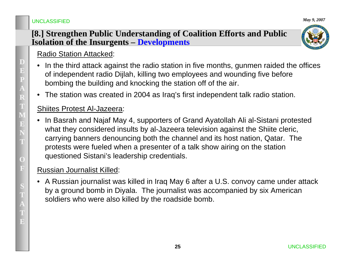### **[8.] Strengthen Public Understanding of Coalition Efforts and Public Isolation of the Insurgents – Developments**



*May 9, 2007*

### Radio Station Attacked:

- •In the third attack against the radio station in five months, gunmen raided the offices of independent radio Dijlah, killing two employees and wounding five before bombing the building and knocking the station off of the air.
- •The station was created in 2004 as Iraq's first independent talk radio station.

#### Shiites Protest Al-Jazeera:

• In Basrah and Najaf May 4, supporters of Grand Ayatollah Ali al-Sistani protested what they considered insults by al-Jazeera television against the Shiite cleric, carrying banners denouncing both the channel and its host nation, Qatar. The protests were fueled when a presenter of a talk show airing on the station questioned Sistani's leadership credentials.

### Russian Journalist Killed:

• A Russian journalist was killed in Iraq May 6 after a U.S. convoy came under attack by a ground bomb in Diyala. The journalist was accompanied by six American soldiers who were also killed by the roadside bomb.

UNCLASSIFIED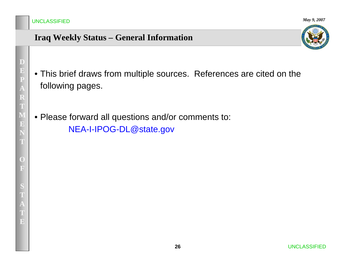*May 9, 2007*

### **Iraq Weekly Status – General Information**



- This brief draws from multiple sources. References are cited on the following pages.
- Please forward all questions and/or comments to: NEA-I-IPOG-DL@state.gov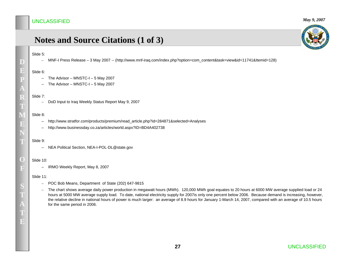#### *May 9, 2007*

### **Notes and Source Citations (1 of 3)**

#### Slide 5:

**D**

**E**

**P**

**A**

**R**

**T**

**M**

 $\mathbf{E}$ 

**N**

**T**

**O**

**F**

**S T**

**A**

**TE**

–MNF-I Press Release – 3 May 2007 -- (http://www.mnf-iraq.com/index.php?option=com\_content&task=view&id=11741&Itemid=128)

#### Slide 6:

- The Advisor MNSTC-I 5 May 2007
- The Advisor MNSTC-I 5 May 2007

#### Slide 7:

–DoD Input to Iraq Weekly Status Report May 9, 2007

#### Slide 8:

- –http://www.stratfor.com/products/premium/read\_article.php?id=284871&selected=Analyses
- –http://www.businessday.co.za/articles/world.aspx?ID=BD4A402738

#### Slide 9:

– NEA Political Section, NEA-I-POL-DL@state.gov

#### Slide 10:

– IRMO Weekly Report, May 8, 2007

#### Slide 11:

- POC Bob Means, Department of State (202) 647-9815
- – The chart shows average daily power production in megawatt hours (MWh). 120,000 MWh goal equates to 20 hours at 6000 MW average supplied load or 24 hours at 5000 MW average supply load. To date, national electricity supply for 2007is only one percent below 2006. Because demand is increasing, however, the relative decline in national hours of power is much larger: an average of 8.9 hours for January 1-March 14, 2007, compared with an average of 10.5 hours for the same period in 2006.

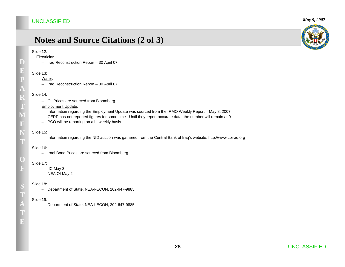### **Notes and Source Citations (2 of 3)**

#### Slide 12:

**D**

**E**

**P**

**A R**

**M**

**E**

**NT**

**O**

**F**

**S**

**A TE** Electricity:

– Iraq Reconstruction Report – 30 April 07

#### Slide 13:<u>Water</u>:

– Iraq Reconstruction Report – 30 April 07

#### Slide 14:

– Oil Prices are sourced from Bloomberg

#### Employment Update:

- Information regarding the Employment Update was sourced from the IRMO Weekly Report May 8, 2007.
- CERP has not reported figures for some time. Until they report accurate data, the number will remain at 0.
- PCO will be reporting on a bi-weekly basis.

#### Slide 15:

– Information regarding the NID auction was gathered from the Central Bank of Iraq's website: http://www.cbiraq.org

#### Slide 16:

– Iraqi Bond Prices are sourced from Bloomberg

#### Slide 17:

- IIC May 3
- NEA OI May 2

#### Slide 18:

– Department of State, NEA-I-ECON, 202-647-9885

#### Slide 19:

– Department of State, NEA-I-ECON, 202-647-9885